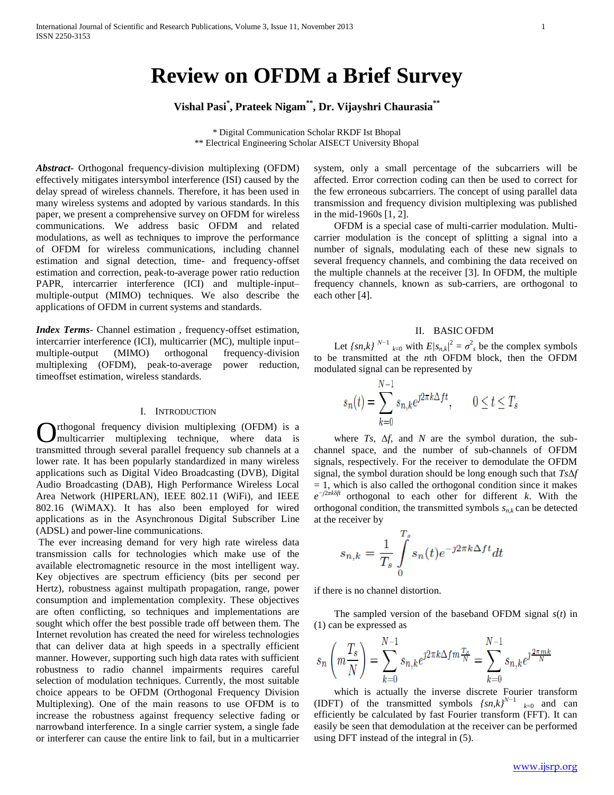# **Review on OFDM a Brief Survey**

## **Vishal Pasi\* , Prateek Nigam\*\*, Dr. Vijayshri Chaurasia\*\***

\* Digital Communication Scholar RKDF Ist Bhopal \*\* Electrical Engineering Scholar AISECT University Bhopal

*Abstract***-** Orthogonal frequency-division multiplexing (OFDM) effectively mitigates intersymbol interference (ISI) caused by the delay spread of wireless channels. Therefore, it has been used in many wireless systems and adopted by various standards. In this paper, we present a comprehensive survey on OFDM for wireless communications. We address basic OFDM and related modulations, as well as techniques to improve the performance of OFDM for wireless communications, including channel estimation and signal detection, time- and frequency-offset estimation and correction, peak-to-average power ratio reduction PAPR, intercarrier interference (ICI) and multiple-input– multiple-output (MIMO) techniques. We also describe the applications of OFDM in current systems and standards.

*Index Terms*- Channel estimation , frequency-offset estimation, intercarrier interference (ICI), multicarrier (MC), multiple input– multiple-output (MIMO) orthogonal frequency-division multiplexing (OFDM), peak-to-average power reduction, timeoffset estimation, wireless standards.

## I. INTRODUCTION

rthogonal frequency division multiplexing (OFDM) is a **O**rthogonal frequency division multiplexing (OFDM) is a multicarrier multiplexing technique, where data is transmitted through several parallel frequency sub channels at a lower rate. It has been popularly standardized in many wireless applications such as Digital Video Broadcasting (DVB), Digital Audio Broadcasting (DAB), High Performance Wireless Local Area Network (HIPERLAN), IEEE 802.11 (WiFi), and IEEE 802.16 (WiMAX). It has also been employed for wired applications as in the Asynchronous Digital Subscriber Line (ADSL) and power-line communications.

The ever increasing demand for very high rate wireless data transmission calls for technologies which make use of the available electromagnetic resource in the most intelligent way. Key objectives are spectrum efficiency (bits per second per Hertz), robustness against multipath propagation, range, power consumption and implementation complexity. These objectives are often conflicting, so techniques and implementations are sought which offer the best possible trade off between them. The Internet revolution has created the need for wireless technologies that can deliver data at high speeds in a spectrally efficient manner. However, supporting such high data rates with sufficient robustness to radio channel impairments requires careful selection of modulation techniques. Currently, the most suitable choice appears to be OFDM (Orthogonal Frequency Division Multiplexing). One of the main reasons to use OFDM is to increase the robustness against frequency selective fading or narrowband interference. In a single carrier system, a single fade or interferer can cause the entire link to fail, but in a multicarrier

system, only a small percentage of the subcarriers will be affected. Error correction coding can then be used to correct for the few erroneous subcarriers. The concept of using parallel data transmission and frequency division multiplexing was published in the mid-1960s [1, 2].

 OFDM is a special case of multi-carrier modulation. Multicarrier modulation is the concept of splitting a signal into a number of signals, modulating each of these new signals to several frequency channels, and combining the data received on the multiple channels at the receiver [3]. In OFDM, the multiple frequency channels, known as sub-carriers, are orthogonal to each other [4].

#### II. BASIC OFDM

Let  $\{sn,k\}^{N-1}$   $_{k=0}$  with  $E/s_{n,k}/^2 = \sigma_s^2$  be the complex symbols to be transmitted at the *n*th OFDM block, then the OFDM modulated signal can be represented by

$$
s_n(t) = \sum_{k=0}^{N-1} s_{n,k} e^{j2\pi k \Delta ft}, \qquad 0 \le t \le T_s
$$

where  $Ts$ ,  $\Delta f$ , and  $N$  are the symbol duration, the subchannel space, and the number of sub-channels of OFDM signals, respectively. For the receiver to demodulate the OFDM signal, the symbol duration should be long enough such that *Ts*Δ*f*   $= 1$ , which is also called the orthogonal condition since it makes  $e^{-j2\pi k\delta f t}$  orthogonal to each other for different *k*. With the orthogonal condition, the transmitted symbols  $s_{n,k}$  can be detected at the receiver by

$$
s_{n,k} = \frac{1}{T_s} \int\limits_{0}^{T_s} s_n(t) e^{-j2\pi k \Delta ft} dt
$$

if there is no channel distortion.

 $\sim$   $\sim$ 

 The sampled version of the baseband OFDM signal *s*(*t*) in (1) can be expressed as

$$
s_n\left(m\frac{T_s}{N}\right) = \sum_{k=0}^{N-1} s_{n,k} e^{j2\pi k \Delta f m \frac{T_s}{N}} = \sum_{k=0}^{N-1} s_{n,k} e^{j\frac{2\pi mk}{N}}
$$

 which is actually the inverse discrete Fourier transform (IDFT) of the transmitted symbols  $\{sn, k\}^{N-1}$   $_{k=0}$  and can efficiently be calculated by fast Fourier transform (FFT). It can easily be seen that demodulation at the receiver can be performed using DFT instead of the integral in (5).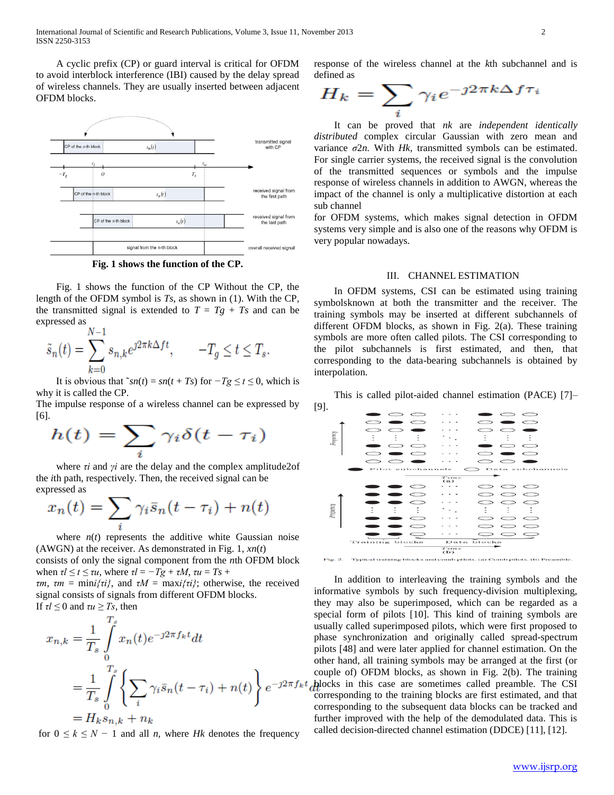A cyclic prefix (CP) or guard interval is critical for OFDM to avoid interblock interference (IBI) caused by the delay spread of wireless channels. They are usually inserted between adjacent OFDM blocks.



**Fig. 1 shows the function of the CP.**

 Fig. 1 shows the function of the CP Without the CP, the length of the OFDM symbol is *Ts*, as shown in (1). With the CP, the transmitted signal is extended to  $T = Tg + Ts$  and can be expressed as  $\overline{1}$ 

$$
\tilde{s}_n(t) = \sum_{k=0}^{N-1} s_{n,k} e^{j2\pi k \Delta ft}, \qquad -T_g \le t \le T_s.
$$

It is obvious that  $\tilde{s}n(t) = sn(t + Ts)$  for  $-Tg ≤ t ≤ 0$ , which is why it is called the CP.

The impulse response of a wireless channel can be expressed by [6].

$$
h(t) = \sum_i \gamma_i \delta(t - \tau_i)
$$

 where *τi* and *γi* are the delay and the complex amplitude2of the *i*th path, respectively. Then, the received signal can be expressed as

$$
x_n(t) = \sum_i \gamma_i \bar{s}_n(t - \tau_i) + n(t)
$$

where  $n(t)$  represents the additive white Gaussian noise (AWGN) at the receiver. As demonstrated in Fig. 1, *xn*(*t*)

consists of only the signal component from the *n*th OFDM block when  $\tau l \leq t \leq \tau u$ , where  $\tau l = -Tg + \tau M$ ,  $\tau u = Ts +$ 

*τm*, *τm* = min*i* $\{\tau i\}$ , and *τM* = max*i* $\{\tau i\}$ ; otherwise, the received signal consists of signals from different OFDM blocks. If  $\tau l \leq 0$  and  $\tau u \geq Ts$ , then

$$
x_{n,k} = \frac{1}{T_s} \int_{0}^{T_s} x_n(t)e^{-j2\pi f_k t} dt
$$
  
=  $\frac{1}{T_s} \int_{0}^{T_s} \left\{ \sum_{i} \gamma_i \bar{s}_n(t - \tau_i) + n(t) \right\} e^{-j2\pi f_k t} dt$   
=  $H_k s_{n,k} + n_k$ 

for  $0 \leq k \leq N - 1$  and all *n*, where *Hk* denotes the frequency

response of the wireless channel at the *k*th subchannel and is defined as

$$
H_k=\sum_i \gamma_i e^{-\jmath 2 \pi k \Delta f \tau_i}
$$

J

 It can be proved that *nk* are *independent identically distributed* complex circular Gaussian with zero mean and variance *σ*2*n.* With *Hk*, transmitted symbols can be estimated. For single carrier systems, the received signal is the convolution of the transmitted sequences or symbols and the impulse response of wireless channels in addition to AWGN, whereas the impact of the channel is only a multiplicative distortion at each sub channel

for OFDM systems, which makes signal detection in OFDM systems very simple and is also one of the reasons why OFDM is very popular nowadays.

## III. CHANNEL ESTIMATION

 In OFDM systems, CSI can be estimated using training symbolsknown at both the transmitter and the receiver. The training symbols may be inserted at different subchannels of different OFDM blocks, as shown in Fig. 2(a). These training symbols are more often called pilots. The CSI corresponding to the pilot subchannels is first estimated, and then, that corresponding to the data-bearing subchannels is obtained by interpolation.

This is called pilot-aided channel estimation (PACE) [7]–



 In addition to interleaving the training symbols and the informative symbols by such frequency-division multiplexing, they may also be superimposed, which can be regarded as a special form of pilots [10]. This kind of training symbols are usually called superimposed pilots, which were first proposed to phase synchronization and originally called spread-spectrum pilots [48] and were later applied for channel estimation. On the other hand, all training symbols may be arranged at the first (or couple of) OFDM blocks, as shown in Fig. 2(b). The training blocks in this case are sometimes called preamble. The CSI corresponding to the training blocks are first estimated, and that corresponding to the subsequent data blocks can be tracked and further improved with the help of the demodulated data. This is called decision-directed channel estimation (DDCE) [11], [12].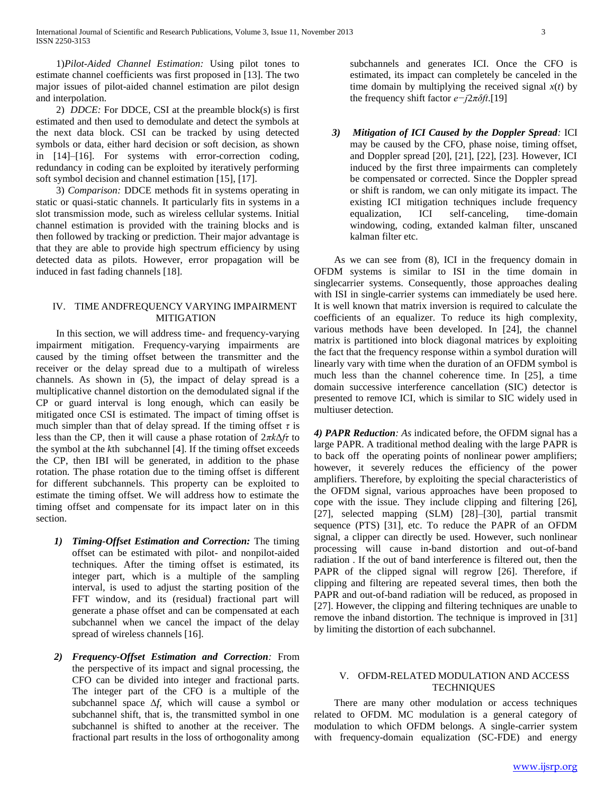1)*Pilot-Aided Channel Estimation:* Using pilot tones to estimate channel coefficients was first proposed in [13]. The two major issues of pilot-aided channel estimation are pilot design and interpolation.

 2) *DDCE:* For DDCE, CSI at the preamble block(s) is first estimated and then used to demodulate and detect the symbols at the next data block. CSI can be tracked by using detected symbols or data, either hard decision or soft decision, as shown in [14]–[16]. For systems with error-correction coding, redundancy in coding can be exploited by iteratively performing soft symbol decision and channel estimation [15], [17].

 3) *Comparison:* DDCE methods fit in systems operating in static or quasi-static channels. It particularly fits in systems in a slot transmission mode, such as wireless cellular systems. Initial channel estimation is provided with the training blocks and is then followed by tracking or prediction. Their major advantage is that they are able to provide high spectrum efficiency by using detected data as pilots. However, error propagation will be induced in fast fading channels [18].

## IV. TIME ANDFREQUENCY VARYING IMPAIRMENT MITIGATION

 In this section, we will address time- and frequency-varying impairment mitigation. Frequency-varying impairments are caused by the timing offset between the transmitter and the receiver or the delay spread due to a multipath of wireless channels. As shown in (5), the impact of delay spread is a multiplicative channel distortion on the demodulated signal if the CP or guard interval is long enough, which can easily be mitigated once CSI is estimated. The impact of timing offset is much simpler than that of delay spread. If the timing offset  $\tau$  is less than the CP, then it will cause a phase rotation of 2*πk*Δ*fτ* to the symbol at the *k*th subchannel [4]. If the timing offset exceeds the CP, then IBI will be generated, in addition to the phase rotation. The phase rotation due to the timing offset is different for different subchannels. This property can be exploited to estimate the timing offset. We will address how to estimate the timing offset and compensate for its impact later on in this section.

- *1) Timing-Offset Estimation and Correction:* The timing offset can be estimated with pilot- and nonpilot-aided techniques. After the timing offset is estimated, its integer part, which is a multiple of the sampling interval, is used to adjust the starting position of the FFT window, and its (residual) fractional part will generate a phase offset and can be compensated at each subchannel when we cancel the impact of the delay spread of wireless channels [16].
- *2) Frequency-Offset Estimation and Correction:* From the perspective of its impact and signal processing, the CFO can be divided into integer and fractional parts. The integer part of the CFO is a multiple of the subchannel space Δ*f*, which will cause a symbol or subchannel shift, that is, the transmitted symbol in one subchannel is shifted to another at the receiver. The fractional part results in the loss of orthogonality among

subchannels and generates ICI. Once the CFO is estimated, its impact can completely be canceled in the time domain by multiplying the received signal  $x(t)$  by the frequency shift factor *e−j*2*πδft*.[19]

*3) Mitigation of ICI Caused by the Doppler Spread:* ICI may be caused by the CFO, phase noise, timing offset, and Doppler spread [20], [21], [22], [23]. However, ICI induced by the first three impairments can completely be compensated or corrected. Since the Doppler spread or shift is random, we can only mitigate its impact. The existing ICI mitigation techniques include frequency equalization, ICI self-canceling, time-domain windowing, coding, extanded kalman filter, unscaned kalman filter etc.

 As we can see from (8), ICI in the frequency domain in OFDM systems is similar to ISI in the time domain in singlecarrier systems. Consequently, those approaches dealing with ISI in single-carrier systems can immediately be used here. It is well known that matrix inversion is required to calculate the coefficients of an equalizer. To reduce its high complexity, various methods have been developed. In [24], the channel matrix is partitioned into block diagonal matrices by exploiting the fact that the frequency response within a symbol duration will linearly vary with time when the duration of an OFDM symbol is much less than the channel coherence time. In [25], a time domain successive interference cancellation (SIC) detector is presented to remove ICI, which is similar to SIC widely used in multiuser detection.

*4) PAPR Reduction: As* indicated before, the OFDM signal has a large PAPR. A traditional method dealing with the large PAPR is to back off the operating points of nonlinear power amplifiers; however, it severely reduces the efficiency of the power amplifiers. Therefore, by exploiting the special characteristics of the OFDM signal, various approaches have been proposed to cope with the issue. They include clipping and filtering [26], [27], selected mapping (SLM) [28]–[30], partial transmit sequence (PTS) [31], etc. To reduce the PAPR of an OFDM signal, a clipper can directly be used. However, such nonlinear processing will cause in-band distortion and out-of-band radiation . If the out of band interference is filtered out, then the PAPR of the clipped signal will regrow [26]. Therefore, if clipping and filtering are repeated several times, then both the PAPR and out-of-band radiation will be reduced, as proposed in [27]. However, the clipping and filtering techniques are unable to remove the inband distortion. The technique is improved in [31] by limiting the distortion of each subchannel.

## V. OFDM-RELATED MODULATION AND ACCESS **TECHNIQUES**

 There are many other modulation or access techniques related to OFDM. MC modulation is a general category of modulation to which OFDM belongs. A single-carrier system with frequency-domain equalization (SC-FDE) and energy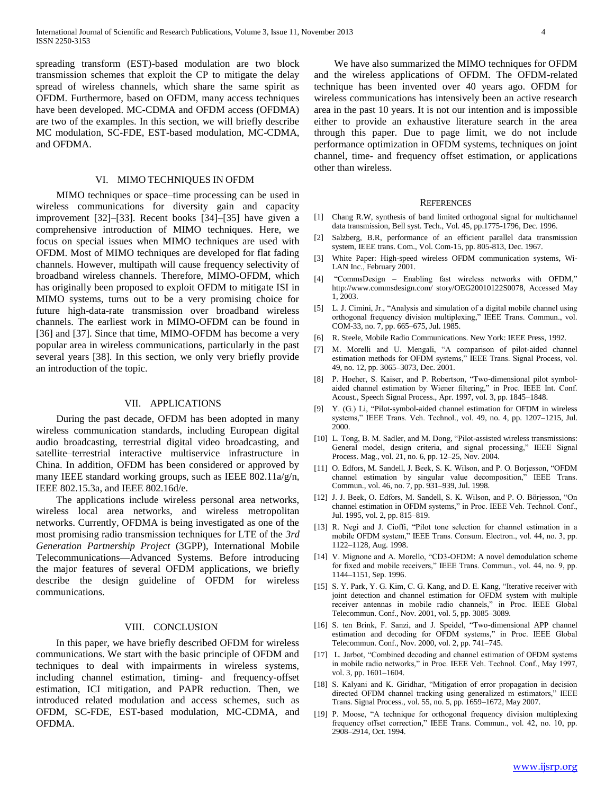spreading transform (EST)-based modulation are two block transmission schemes that exploit the CP to mitigate the delay spread of wireless channels, which share the same spirit as OFDM. Furthermore, based on OFDM, many access techniques have been developed. MC-CDMA and OFDM access (OFDMA) are two of the examples. In this section, we will briefly describe MC modulation, SC-FDE, EST-based modulation, MC-CDMA, and OFDMA.

## VI. MIMO TECHNIQUES IN OFDM

 MIMO techniques or space–time processing can be used in wireless communications for diversity gain and capacity improvement [32]–[33]. Recent books [34]–[35] have given a comprehensive introduction of MIMO techniques. Here, we focus on special issues when MIMO techniques are used with OFDM. Most of MIMO techniques are developed for flat fading channels. However, multipath will cause frequency selectivity of broadband wireless channels. Therefore, MIMO-OFDM, which has originally been proposed to exploit OFDM to mitigate ISI in MIMO systems, turns out to be a very promising choice for future high-data-rate transmission over broadband wireless channels. The earliest work in MIMO-OFDM can be found in [36] and [37]. Since that time, MIMO-OFDM has become a very popular area in wireless communications, particularly in the past several years [38]. In this section, we only very briefly provide an introduction of the topic.

## VII. APPLICATIONS

 During the past decade, OFDM has been adopted in many wireless communication standards, including European digital audio broadcasting, terrestrial digital video broadcasting, and satellite–terrestrial interactive multiservice infrastructure in China. In addition, OFDM has been considered or approved by many IEEE standard working groups, such as IEEE 802.11a/g/n, IEEE 802.15.3a, and IEEE 802.16d/e.

 The applications include wireless personal area networks, wireless local area networks, and wireless metropolitan networks. Currently, OFDMA is being investigated as one of the most promising radio transmission techniques for LTE of the *3rd Generation Partnership Project* (3GPP), International Mobile Telecommunications—Advanced Systems. Before introducing the major features of several OFDM applications, we briefly describe the design guideline of OFDM for wireless communications.

## VIII. CONCLUSION

 In this paper, we have briefly described OFDM for wireless communications. We start with the basic principle of OFDM and techniques to deal with impairments in wireless systems, including channel estimation, timing- and frequency-offset estimation, ICI mitigation, and PAPR reduction. Then, we introduced related modulation and access schemes, such as OFDM, SC-FDE, EST-based modulation, MC-CDMA, and OFDMA.

 We have also summarized the MIMO techniques for OFDM and the wireless applications of OFDM. The OFDM-related technique has been invented over 40 years ago. OFDM for wireless communications has intensively been an active research area in the past 10 years. It is not our intention and is impossible either to provide an exhaustive literature search in the area through this paper. Due to page limit, we do not include performance optimization in OFDM systems, techniques on joint channel, time- and frequency offset estimation, or applications other than wireless.

## **REFERENCES**

- [1] Chang R.W, synthesis of band limited orthogonal signal for multichannel data transmission, Bell syst. Tech., Vol. 45, pp.1775-1796, Dec. 1996.
- [2] Salzberg, B.R, performance of an efficient parallel data transmission system, IEEE trans. Com., Vol. Com-15, pp. 805-813, Dec. 1967.
- [3] White Paper: High-speed wireless OFDM communication systems, Wi-LAN Inc., February 2001.
- [4] "CommsDesign Enabling fast wireless networks with OFDM," http://www.commsdesign.com/ story/OEG20010122S0078, Accessed May 1, 2003.
- [5] L. J. Cimini, Jr., "Analysis and simulation of a digital mobile channel using orthogonal frequency division multiplexing," IEEE Trans. Commun., vol. COM-33, no. 7, pp. 665–675, Jul. 1985.
- [6] R. Steele, Mobile Radio Communications. New York: IEEE Press, 1992.
- [7] M. Morelli and U. Mengali, "A comparison of pilot-aided channel estimation methods for OFDM systems," IEEE Trans. Signal Process, vol. 49, no. 12, pp. 3065–3073, Dec. 2001.
- [8] P. Hoeher, S. Kaiser, and P. Robertson, "Two-dimensional pilot symbolaided channel estimation by Wiener filtering," in Proc. IEEE Int. Conf. Acoust., Speech Signal Process., Apr. 1997, vol. 3, pp. 1845–1848.
- [9] Y. (G.) Li, "Pilot-symbol-aided channel estimation for OFDM in wireless systems," IEEE Trans. Veh. Technol., vol. 49, no. 4, pp. 1207–1215, Jul. 2000.
- [10] L. Tong, B. M. Sadler, and M. Dong, "Pilot-assisted wireless transmissions: General model, design criteria, and signal processing," IEEE Signal Process. Mag., vol. 21, no. 6, pp. 12–25, Nov. 2004.
- [11] O. Edfors, M. Sandell, J. Beek, S. K. Wilson, and P. O. Borjesson, "OFDM channel estimation by singular value decomposition," IEEE Trans. Commun., vol. 46, no. 7, pp. 931–939, Jul. 1998.
- [12] J. J. Beek, O. Edfors, M. Sandell, S. K. Wilson, and P. O. Börjesson, "On channel estimation in OFDM systems," in Proc. IEEE Veh. Technol. Conf., Jul. 1995, vol. 2, pp. 815–819.
- [13] R. Negi and J. Cioffi, "Pilot tone selection for channel estimation in a mobile OFDM system," IEEE Trans. Consum. Electron., vol. 44, no. 3, pp. 1122–1128, Aug. 1998.
- [14] V. Mignone and A. Morello, "CD3-OFDM: A novel demodulation scheme for fixed and mobile receivers," IEEE Trans. Commun., vol. 44, no. 9, pp. 1144–1151, Sep. 1996.
- [15] S. Y. Park, Y. G. Kim, C. G. Kang, and D. E. Kang, "Iterative receiver with joint detection and channel estimation for OFDM system with multiple receiver antennas in mobile radio channels," in Proc. IEEE Global Telecommun. Conf., Nov. 2001, vol. 5, pp. 3085–3089.
- [16] S. ten Brink, F. Sanzi, and J. Speidel, "Two-dimensional APP channel estimation and decoding for OFDM systems," in Proc. IEEE Global Telecommun. Conf., Nov. 2000, vol. 2, pp. 741–745.
- [17] L. Jarbot, "Combined decoding and channel estimation of OFDM systems in mobile radio networks," in Proc. IEEE Veh. Technol. Conf., May 1997, vol. 3, pp. 1601–1604.
- [18] S. Kalyani and K. Giridhar, "Mitigation of error propagation in decision directed OFDM channel tracking using generalized m estimators," IEEE Trans. Signal Process., vol. 55, no. 5, pp. 1659–1672, May 2007.
- [19] P. Moose, "A technique for orthogonal frequency division multiplexing frequency offset correction," IEEE Trans. Commun., vol. 42, no. 10, pp. 2908–2914, Oct. 1994.